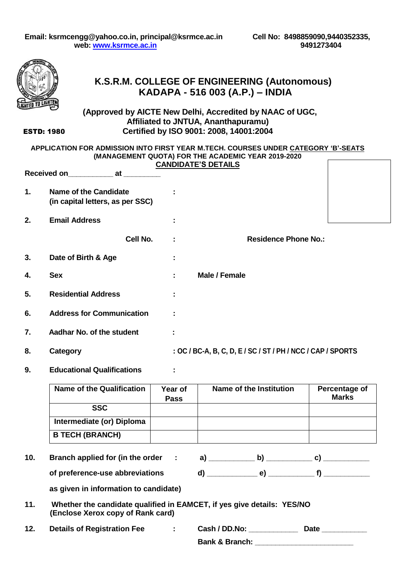

## **K.S.R.M. COLLEGE OF ENGINEERING (Autonomous) KADAPA - 516 003 (A.P.) – INDIA**

#### **(Approved by AICTE New Delhi, Accredited by NAAC of UGC, Affiliated to JNTUA, Ananthapuramu) Certified by ISO 9001: 2008, 14001:2004**

ESTD: 1980

#### **APPLICATION FOR ADMISSION INTO FIRST YEAR M.TECH. COURSES UNDER CATEGORY 'B'-SEATS (MANAGEMENT QUOTA) FOR THE ACADEMIC YEAR 2019-2020 CANDIDATE'S DETAILS**

|    | <b>Received on</b>                                               | at       |                                  |                                                             |  |
|----|------------------------------------------------------------------|----------|----------------------------------|-------------------------------------------------------------|--|
| 1. | <b>Name of the Candidate</b><br>(in capital letters, as per SSC) |          | ÷                                |                                                             |  |
| 2. | <b>Email Address</b>                                             |          |                                  |                                                             |  |
|    |                                                                  | Cell No. | ÷                                | <b>Residence Phone No.:</b>                                 |  |
| 3. | Date of Birth & Age                                              |          | $\blacksquare$<br>$\blacksquare$ |                                                             |  |
| 4. | <b>Sex</b>                                                       |          | ÷                                | Male / Female                                               |  |
| 5. | <b>Residential Address</b>                                       |          | ÷                                |                                                             |  |
| 6. | <b>Address for Communication</b>                                 |          | ÷                                |                                                             |  |
| 7. | Aadhar No. of the student                                        |          | ÷                                |                                                             |  |
| 8. | Category                                                         |          |                                  | : OC / BC-A, B, C, D, E / SC / ST / PH / NCC / CAP / SPORTS |  |

**9. Educational Qualifications :**

| <b>Name of the Qualification</b> | Year of<br><b>Pass</b> | Name of the Institution | Percentage of<br><b>Marks</b> |
|----------------------------------|------------------------|-------------------------|-------------------------------|
| <b>SSC</b>                       |                        |                         |                               |
| Intermediate (or) Diploma        |                        |                         |                               |
| <b>B TECH (BRANCH)</b>           |                        |                         |                               |

**10. Branch applied for (in the order : a) \_\_\_\_\_\_\_\_\_\_\_ b) \_\_\_\_\_\_\_\_\_\_\_ c) \_\_\_\_\_\_\_\_\_\_\_**

**of preference-use abbreviations d) \_\_\_\_\_\_\_\_\_\_\_\_ e) \_\_\_\_\_\_\_\_\_\_\_ f) \_\_\_\_\_\_\_\_\_\_\_** 

**as given in information to candidate)**

| 11. | Whether the candidate qualified in EAMCET, if yes give details: YES/NO |  |
|-----|------------------------------------------------------------------------|--|
|     | (Enclose Xerox copy of Rank card)                                      |  |

**12. Details of Registration Fee : Cash / DD.No: \_\_\_\_\_\_\_\_\_\_\_\_ Date \_\_\_\_\_\_\_\_\_\_\_**

**Bank & Branch:**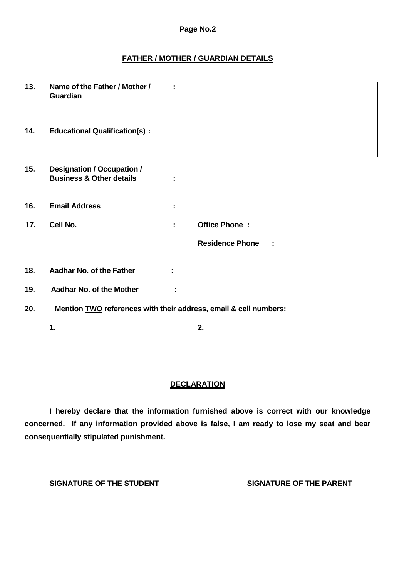#### **Page No.2**

#### **FATHER / MOTHER / GUARDIAN DETAILS**

| 13. | Name of the Father / Mother /<br>Guardian                                |   |                              |  |
|-----|--------------------------------------------------------------------------|---|------------------------------|--|
| 14. | <b>Educational Qualification(s):</b>                                     |   |                              |  |
| 15. | <b>Designation / Occupation /</b><br><b>Business &amp; Other details</b> |   |                              |  |
| 16. | <b>Email Address</b>                                                     | ÷ |                              |  |
| 17. | Cell No.                                                                 | ÷ | <b>Office Phone:</b>         |  |
|     |                                                                          |   | <b>Residence Phone</b><br>Ĩ. |  |
| 18. | Aadhar No. of the Father                                                 |   |                              |  |
| 19. | Aadhar No. of the Mother                                                 | ÷ |                              |  |
| 20. | Mention TWO references with their address, email & cell numbers:         |   |                              |  |
|     | 1.                                                                       |   | 2.                           |  |

### **DECLARATION**

**I hereby declare that the information furnished above is correct with our knowledge concerned. If any information provided above is false, I am ready to lose my seat and bear consequentially stipulated punishment.**

**SIGNATURE OF THE STUDENT SIGNATURE OF THE PARENT**